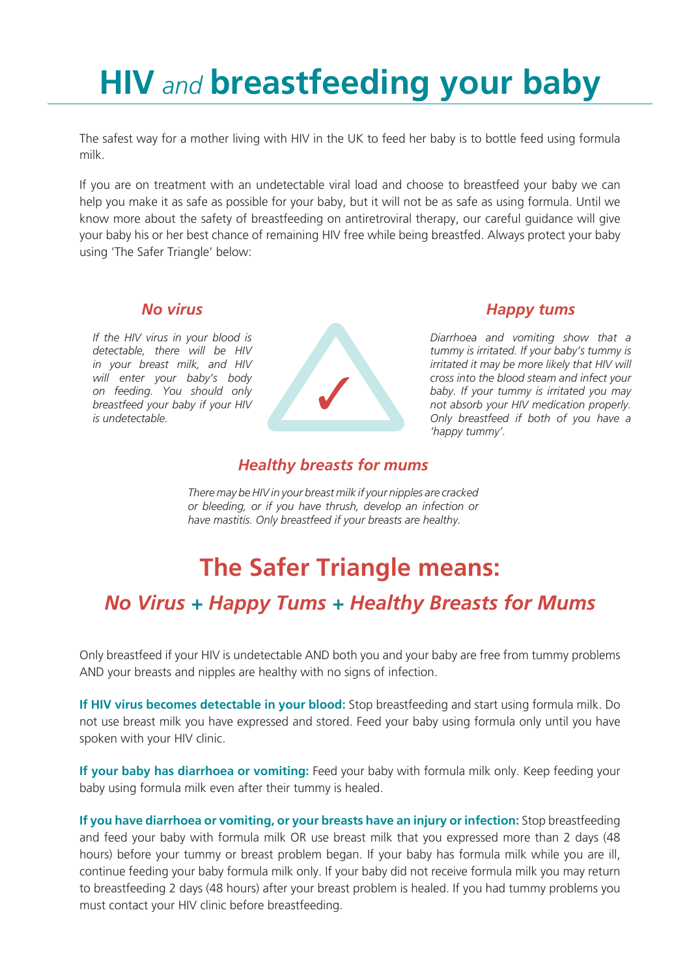# **HIV** *and* **breastfeeding your baby**

The safest way for a mother living with HIV in the UK to feed her baby is to bottle feed using formula milk.

If you are on treatment with an undetectable viral load and choose to breastfeed your baby we can help you make it as safe as possible for your baby, but it will not be as safe as using formula. Until we know more about the safety of breastfeeding on antiretroviral therapy, our careful guidance will give your baby his or her best chance of remaining HIV free while being breastfed. Always protect your baby using 'The Safer Triangle' below:

#### *No virus*

*If the HIV virus in your blood is detectable, there will be HIV in your breast milk, and HIV will enter your baby's body on feeding. You should only breastfeed your baby if your HIV is undetectable.*



#### *Happy tums*

*Diarrhoea and vomiting show that a tummy is irritated. If your baby's tummy is irritated it may be more likely that HIV will cross into the blood steam and infect your baby. If your tummy is irritated you may not absorb your HIV medication properly. Only breastfeed if both of you have a 'happy tummy'.*

#### *Healthy breasts for mums*

*There may be HIV in your breast milk if your nipples are cracked or bleeding, or if you have thrush, develop an infection or have mastitis. Only breastfeed if your breasts are healthy.*

## **The Safer Triangle means:**

## *No Virus + Happy Tums + Healthy Breasts for Mums*

Only breastfeed if your HIV is undetectable AND both you and your baby are free from tummy problems AND your breasts and nipples are healthy with no signs of infection.

**If HIV virus becomes detectable in your blood:** Stop breastfeeding and start using formula milk. Do not use breast milk you have expressed and stored. Feed your baby using formula only until you have spoken with your HIV clinic.

**If your baby has diarrhoea or vomiting:** Feed your baby with formula milk only. Keep feeding your baby using formula milk even after their tummy is healed.

**If you have diarrhoea or vomiting, or your breasts have an injury or infection:** Stop breastfeeding and feed your baby with formula milk OR use breast milk that you expressed more than 2 days (48 hours) before your tummy or breast problem began. If your baby has formula milk while you are ill, continue feeding your baby formula milk only. If your baby did not receive formula milk you may return to breastfeeding 2 days (48 hours) after your breast problem is healed. If you had tummy problems you must contact your HIV clinic before breastfeeding.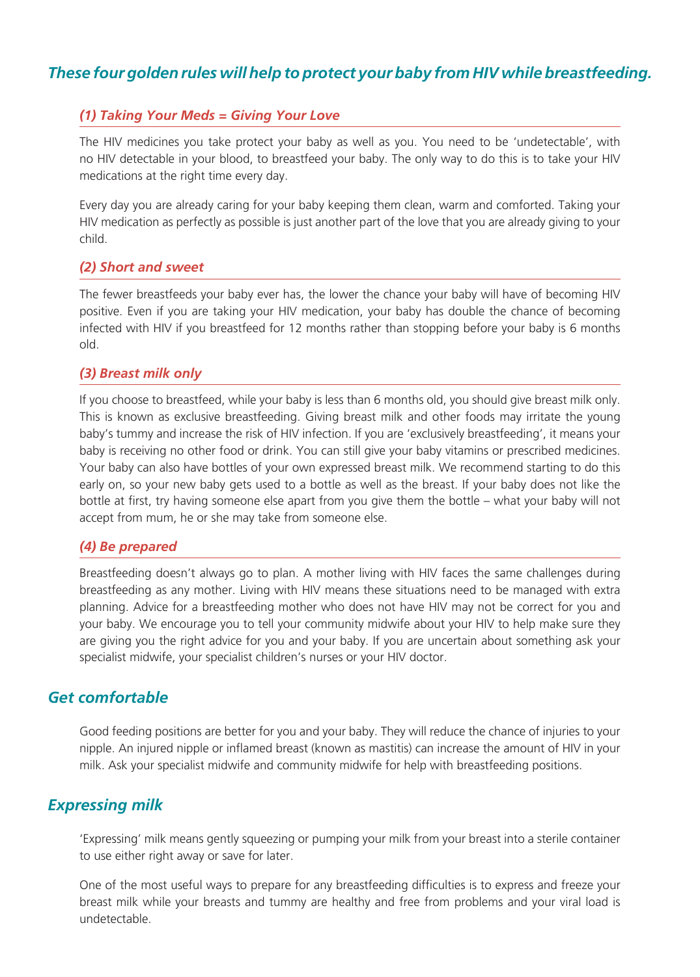#### *These four golden rules will help to protect your baby from HIV while breastfeeding.*

#### *(1) Taking Your Meds = Giving Your Love*

The HIV medicines you take protect your baby as well as you. You need to be 'undetectable', with no HIV detectable in your blood, to breastfeed your baby. The only way to do this is to take your HIV medications at the right time every day.

Every day you are already caring for your baby keeping them clean, warm and comforted. Taking your HIV medication as perfectly as possible is just another part of the love that you are already giving to your child.

#### *(2) Short and sweet*

The fewer breastfeeds your baby ever has, the lower the chance your baby will have of becoming HIV positive. Even if you are taking your HIV medication, your baby has double the chance of becoming infected with HIV if you breastfeed for 12 months rather than stopping before your baby is 6 months old.

#### *(3) Breast milk only*

If you choose to breastfeed, while your baby is less than 6 months old, you should give breast milk only. This is known as exclusive breastfeeding. Giving breast milk and other foods may irritate the young baby's tummy and increase the risk of HIV infection. If you are 'exclusively breastfeeding', it means your baby is receiving no other food or drink. You can still give your baby vitamins or prescribed medicines. Your baby can also have bottles of your own expressed breast milk. We recommend starting to do this early on, so your new baby gets used to a bottle as well as the breast. If your baby does not like the bottle at first, try having someone else apart from you give them the bottle – what your baby will not accept from mum, he or she may take from someone else.

#### *(4) Be prepared*

Breastfeeding doesn't always go to plan. A mother living with HIV faces the same challenges during breastfeeding as any mother. Living with HIV means these situations need to be managed with extra planning. Advice for a breastfeeding mother who does not have HIV may not be correct for you and your baby. We encourage you to tell your community midwife about your HIV to help make sure they are giving you the right advice for you and your baby. If you are uncertain about something ask your specialist midwife, your specialist children's nurses or your HIV doctor.

#### *Get comfortable*

Good feeding positions are better for you and your baby. They will reduce the chance of injuries to your nipple. An injured nipple or inflamed breast (known as mastitis) can increase the amount of HIV in your milk. Ask your specialist midwife and community midwife for help with breastfeeding positions.

#### *Expressing milk*

'Expressing' milk means gently squeezing or pumping your milk from your breast into a sterile container to use either right away or save for later.

One of the most useful ways to prepare for any breastfeeding difficulties is to express and freeze your breast milk while your breasts and tummy are healthy and free from problems and your viral load is undetectable.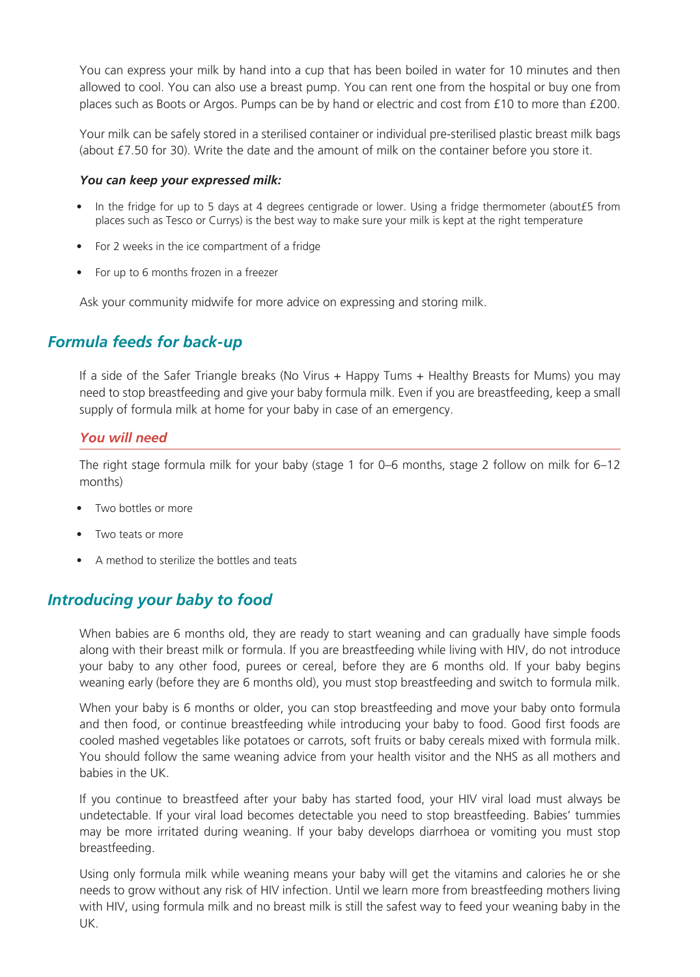You can express your milk by hand into a cup that has been boiled in water for 10 minutes and then allowed to cool. You can also use a breast pump. You can rent one from the hospital or buy one from places such as Boots or Argos. Pumps can be by hand or electric and cost from £10 to more than £200.

Your milk can be safely stored in a sterilised container or individual pre-sterilised plastic breast milk bags (about £7.50 for 30). Write the date and the amount of milk on the container before you store it.

#### *You can keep your expressed milk:*

- In the fridge for up to 5 days at 4 degrees centigrade or lower. Using a fridge thermometer (about£5 from places such as Tesco or Currys) is the best way to make sure your milk is kept at the right temperature
- For 2 weeks in the ice compartment of a fridge
- For up to 6 months frozen in a freezer

Ask your community midwife for more advice on expressing and storing milk.

#### *Formula feeds for back-up*

If a side of the Safer Triangle breaks (No Virus + Happy Tums + Healthy Breasts for Mums) you may need to stop breastfeeding and give your baby formula milk. Even if you are breastfeeding, keep a small supply of formula milk at home for your baby in case of an emergency.

#### *You will need*

The right stage formula milk for your baby (stage 1 for 0–6 months, stage 2 follow on milk for 6–12 months)

- Two bottles or more
- Two teats or more
- A method to sterilize the bottles and teats

#### *Introducing your baby to food*

When babies are 6 months old, they are ready to start weaning and can gradually have simple foods along with their breast milk or formula. If you are breastfeeding while living with HIV, do not introduce your baby to any other food, purees or cereal, before they are 6 months old. If your baby begins weaning early (before they are 6 months old), you must stop breastfeeding and switch to formula milk.

When your baby is 6 months or older, you can stop breastfeeding and move your baby onto formula and then food, or continue breastfeeding while introducing your baby to food. Good first foods are cooled mashed vegetables like potatoes or carrots, soft fruits or baby cereals mixed with formula milk. You should follow the same weaning advice from your health visitor and the NHS as all mothers and babies in the UK.

If you continue to breastfeed after your baby has started food, your HIV viral load must always be undetectable. If your viral load becomes detectable you need to stop breastfeeding. Babies' tummies may be more irritated during weaning. If your baby develops diarrhoea or vomiting you must stop breastfeeding.

Using only formula milk while weaning means your baby will get the vitamins and calories he or she needs to grow without any risk of HIV infection. Until we learn more from breastfeeding mothers living with HIV, using formula milk and no breast milk is still the safest way to feed your weaning baby in the UK.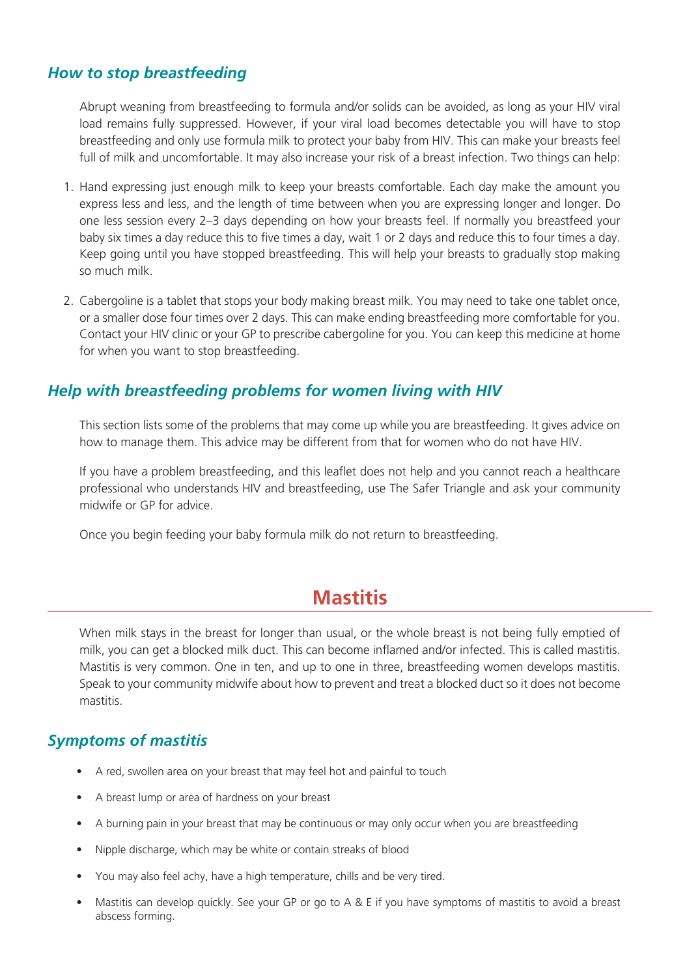#### *How to stop breastfeeding*

Abrupt weaning from breastfeeding to formula and/or solids can be avoided, as long as your HIV viral load remains fully suppressed. However, if your viral load becomes detectable you will have to stop breastfeeding and only use formula milk to protect your baby from HIV. This can make your breasts feel full of milk and uncomfortable. It may also increase your risk of a breast infection. Two things can help:

- 1. Hand expressing just enough milk to keep your breasts comfortable. Each day make the amount you express less and less, and the length of time between when you are expressing longer and longer. Do one less session every 2–3 days depending on how your breasts feel. If normally you breastfeed your baby six times a day reduce this to five times a day, wait 1 or 2 days and reduce this to four times a day. Keep going until you have stopped breastfeeding. This will help your breasts to gradually stop making so much milk.
- 2. Cabergoline is a tablet that stops your body making breast milk. You may need to take one tablet once, or a smaller dose four times over 2 days. This can make ending breastfeeding more comfortable for you. Contact your HIV clinic or your GP to prescribe cabergoline for you. You can keep this medicine at home for when you want to stop breastfeeding.

#### *Help with breastfeeding problems for women living with HIV*

This section lists some of the problems that may come up while you are breastfeeding. It gives advice on how to manage them. This advice may be different from that for women who do not have HIV.

If you have a problem breastfeeding, and this leaflet does not help and you cannot reach a healthcare professional who understands HIV and breastfeeding, use The Safer Triangle and ask your community midwife or GP for advice.

Once you begin feeding your baby formula milk do not return to breastfeeding.

### **Mastitis**

When milk stays in the breast for longer than usual, or the whole breast is not being fully emptied of milk, you can get a blocked milk duct. This can become inflamed and/or infected. This is called mastitis. Mastitis is very common. One in ten, and up to one in three, breastfeeding women develops mastitis. Speak to your community midwife about how to prevent and treat a blocked duct so it does not become mastitis.

#### *Symptoms of mastitis*

- A red, swollen area on your breast that may feel hot and painful to touch
- A breast lump or area of hardness on your breast
- A burning pain in your breast that may be continuous or may only occur when you are breastfeeding
- Nipple discharge, which may be white or contain streaks of blood
- You may also feel achy, have a high temperature, chills and be very tired.
- Mastitis can develop quickly. See your GP or go to A & E if you have symptoms of mastitis to avoid a breast abscess forming.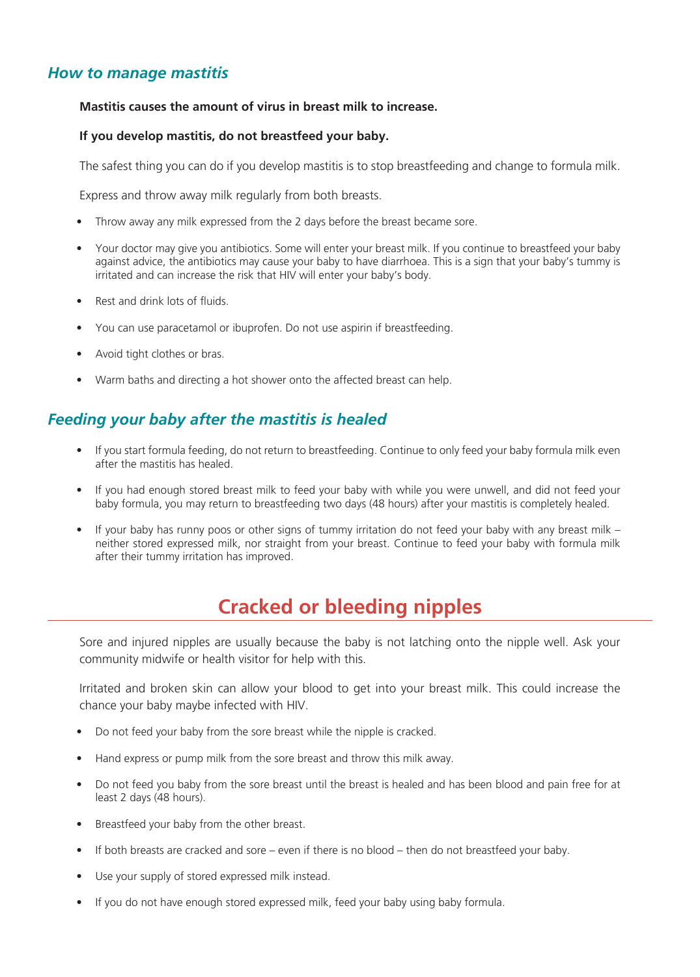#### *How to manage mastitis*

#### **Mastitis causes the amount of virus in breast milk to increase.**

#### **If you develop mastitis, do not breastfeed your baby.**

The safest thing you can do if you develop mastitis is to stop breastfeeding and change to formula milk.

Express and throw away milk regularly from both breasts.

- Throw away any milk expressed from the 2 days before the breast became sore.
- Your doctor may give you antibiotics. Some will enter your breast milk. If you continue to breastfeed your baby against advice, the antibiotics may cause your baby to have diarrhoea. This is a sign that your baby's tummy is irritated and can increase the risk that HIV will enter your baby's body.
- Rest and drink lots of fluids.
- You can use paracetamol or ibuprofen. Do not use aspirin if breastfeeding.
- Avoid tight clothes or bras.
- Warm baths and directing a hot shower onto the affected breast can help.

#### *Feeding your baby after the mastitis is healed*

- If you start formula feeding, do not return to breastfeeding. Continue to only feed your baby formula milk even after the mastitis has healed.
- If you had enough stored breast milk to feed your baby with while you were unwell, and did not feed your baby formula, you may return to breastfeeding two days (48 hours) after your mastitis is completely healed.
- If your baby has runny poos or other signs of tummy irritation do not feed your baby with any breast milk neither stored expressed milk, nor straight from your breast. Continue to feed your baby with formula milk after their tummy irritation has improved.

## **Cracked or bleeding nipples**

Sore and injured nipples are usually because the baby is not latching onto the nipple well. Ask your community midwife or health visitor for help with this.

Irritated and broken skin can allow your blood to get into your breast milk. This could increase the chance your baby maybe infected with HIV.

- Do not feed your baby from the sore breast while the nipple is cracked.
- Hand express or pump milk from the sore breast and throw this milk away.
- Do not feed you baby from the sore breast until the breast is healed and has been blood and pain free for at least 2 days (48 hours).
- Breastfeed your baby from the other breast.
- If both breasts are cracked and sore even if there is no blood then do not breastfeed your baby.
- Use your supply of stored expressed milk instead.
- If you do not have enough stored expressed milk, feed your baby using baby formula.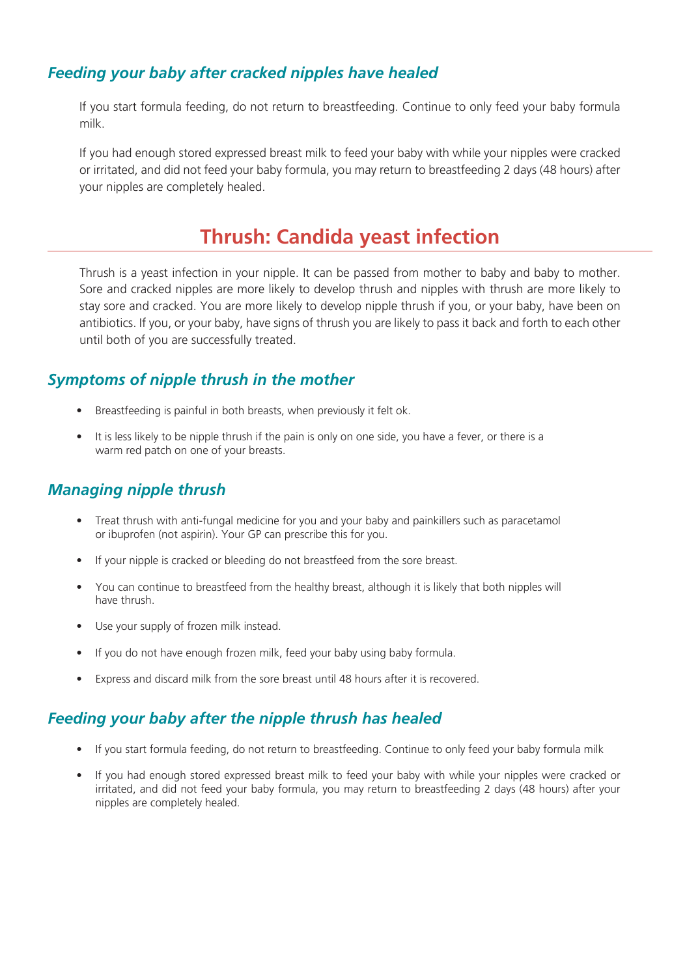#### *Feeding your baby after cracked nipples have healed*

If you start formula feeding, do not return to breastfeeding. Continue to only feed your baby formula milk.

If you had enough stored expressed breast milk to feed your baby with while your nipples were cracked or irritated, and did not feed your baby formula, you may return to breastfeeding 2 days (48 hours) after your nipples are completely healed.

## **Thrush: Candida yeast infection**

Thrush is a yeast infection in your nipple. It can be passed from mother to baby and baby to mother. Sore and cracked nipples are more likely to develop thrush and nipples with thrush are more likely to stay sore and cracked. You are more likely to develop nipple thrush if you, or your baby, have been on antibiotics. If you, or your baby, have signs of thrush you are likely to pass it back and forth to each other until both of you are successfully treated.

#### *Symptoms of nipple thrush in the mother*

- Breastfeeding is painful in both breasts, when previously it felt ok.
- It is less likely to be nipple thrush if the pain is only on one side, you have a fever, or there is a warm red patch on one of your breasts.

#### *Managing nipple thrush*

- Treat thrush with anti-fungal medicine for you and your baby and painkillers such as paracetamol or ibuprofen (not aspirin). Your GP can prescribe this for you.
- If your nipple is cracked or bleeding do not breastfeed from the sore breast.
- You can continue to breastfeed from the healthy breast, although it is likely that both nipples will have thrush.
- Use your supply of frozen milk instead.
- If you do not have enough frozen milk, feed your baby using baby formula.
- Express and discard milk from the sore breast until 48 hours after it is recovered.

#### *Feeding your baby after the nipple thrush has healed*

- If you start formula feeding, do not return to breastfeeding. Continue to only feed your baby formula milk
- If you had enough stored expressed breast milk to feed your baby with while your nipples were cracked or irritated, and did not feed your baby formula, you may return to breastfeeding 2 days (48 hours) after your nipples are completely healed.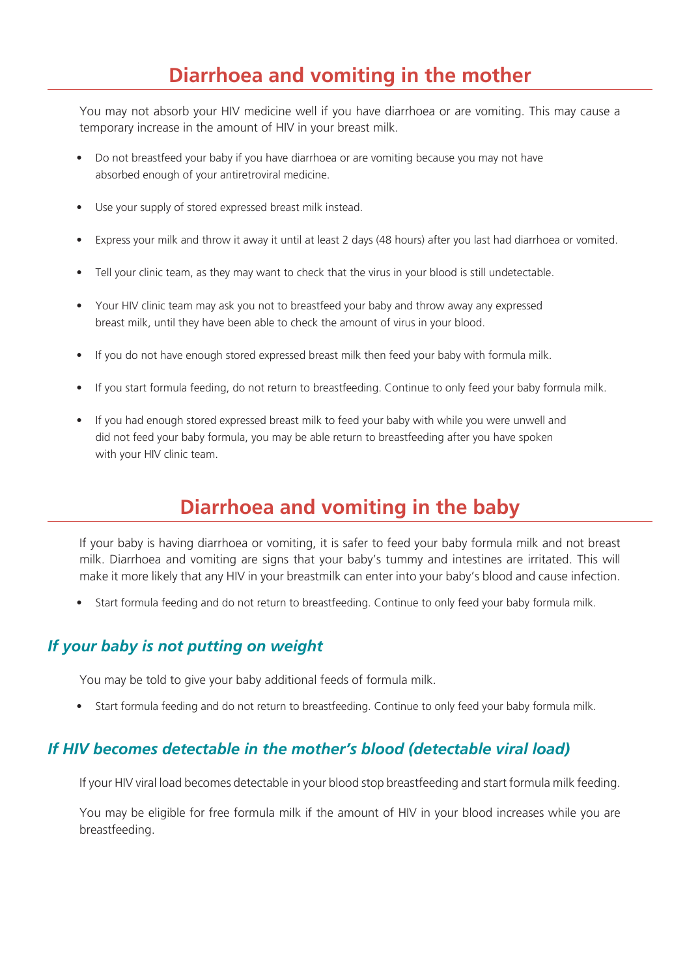## **Diarrhoea and vomiting in the mother**

You may not absorb your HIV medicine well if you have diarrhoea or are vomiting. This may cause a temporary increase in the amount of HIV in your breast milk.

- Do not breastfeed your baby if you have diarrhoea or are vomiting because you may not have absorbed enough of your antiretroviral medicine.
- Use your supply of stored expressed breast milk instead.
- Express your milk and throw it away it until at least 2 days (48 hours) after you last had diarrhoea or vomited.
- Tell your clinic team, as they may want to check that the virus in your blood is still undetectable.
- Your HIV clinic team may ask you not to breastfeed your baby and throw away any expressed breast milk, until they have been able to check the amount of virus in your blood.
- If you do not have enough stored expressed breast milk then feed your baby with formula milk.
- If you start formula feeding, do not return to breastfeeding. Continue to only feed your baby formula milk.
- If you had enough stored expressed breast milk to feed your baby with while you were unwell and did not feed your baby formula, you may be able return to breastfeeding after you have spoken with your HIV clinic team.

## **Diarrhoea and vomiting in the baby**

If your baby is having diarrhoea or vomiting, it is safer to feed your baby formula milk and not breast milk. Diarrhoea and vomiting are signs that your baby's tummy and intestines are irritated. This will make it more likely that any HIV in your breastmilk can enter into your baby's blood and cause infection.

• Start formula feeding and do not return to breastfeeding. Continue to only feed your baby formula milk.

#### *If your baby is not putting on weight*

You may be told to give your baby additional feeds of formula milk.

• Start formula feeding and do not return to breastfeeding. Continue to only feed your baby formula milk.

#### *If HIV becomes detectable in the mother's blood (detectable viral load)*

If your HIV viral load becomes detectable in your blood stop breastfeeding and start formula milk feeding.

You may be eligible for free formula milk if the amount of HIV in your blood increases while you are breastfeeding.